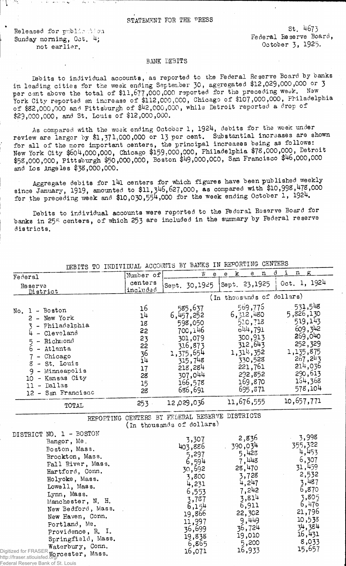## STATEMENT FOR THE PRESS

Released for publication Sunday morning, Oct. 4; not earlier.

the concentration of the concentration of the concentration of the concentration of

, Pf e

st. 4673 Federal Reserve Board, October 3, 1925-

## BANK DEBITS

Debits to individual accounts, as reported to the Federal Reserve Board by oanks in leading cities for the week ending September 30, aggregated \$12,029,000,000 or 3 per cent above the total of \$11,677,000,000 reported for the preceding week. New York City reported an increase of \$112,000,000, Chicago of \$107,000,000, Philadelphia of \$32,000,000 and Pittsburgh of \$42,000,000, while Detroit reported a drop of \$29,000,000, and St. Louis of \$12,000,000.

As compared with the week ending October 1, 1924, debits for the week under review are larger by \$1,371,000,000 or 13 per cent. Substantial increases are shown for all of the more important centers, the principal increases being as follows: New York City \$604,000,000, Chicago \$159,000,000, Philadelphia \$78,000,000, Detroit \$53,000,000, Pittsburgh \$50,000,000, Boston \$49,000,000, San Francisco \$46,000,000 and Los Angeles \$38,000,000.

Aggregate debits for l4l centers for which figures have been published weekly since January, 1919, amounted to \$11,346,627,000, as compared with \$10,998,478,000 for the preceding week and \$10,030,554,000 for the week ending October 1, 1924.

Debits to individual accounts were reported to the Federal Reserve Board for banks in 25<sup>5</sup> centers, of which 253 are included in the summary by Federal reserve districts.

|                                                                                                                                                                                                                                                                                                                                                              | Number of                                                            | $\boldsymbol{W}$<br>e                                                                                                                                | $\mathbf{e}$<br>n<br>k<br>$\mathbf e$                                                                                                               | i<br>ð<br>$\mathbf n$<br>$\mathbf{g}$                                                                                                                |
|--------------------------------------------------------------------------------------------------------------------------------------------------------------------------------------------------------------------------------------------------------------------------------------------------------------------------------------------------------------|----------------------------------------------------------------------|------------------------------------------------------------------------------------------------------------------------------------------------------|-----------------------------------------------------------------------------------------------------------------------------------------------------|------------------------------------------------------------------------------------------------------------------------------------------------------|
| Federal                                                                                                                                                                                                                                                                                                                                                      | centers                                                              |                                                                                                                                                      | Sept. 23,1925                                                                                                                                       | Oct. 1, 1924                                                                                                                                         |
| Reserve<br>District                                                                                                                                                                                                                                                                                                                                          | included                                                             | Sept. 30,1925                                                                                                                                        |                                                                                                                                                     |                                                                                                                                                      |
|                                                                                                                                                                                                                                                                                                                                                              |                                                                      |                                                                                                                                                      | (In thousands of dollars)                                                                                                                           |                                                                                                                                                      |
| No. 1 - Boston<br>2 - New York<br>- Philadelphia<br>3<br>- Cleveland<br>- Richmond<br>5<br>- Atlanta<br>6<br>7 - Chicago<br>8 - St. Louis<br>9 - Minneapolis<br>10 - Kansas City<br>$11 -$ Dallas<br>12 - San Francisco                                                                                                                                      | 16<br>14<br>18<br>22<br>23<br>22<br>36<br>14<br>17<br>28<br>15<br>28 | 585,637<br>6,457,252<br>598,050<br>700, i 46<br>301,079<br>316,873<br>1,375,654<br>315,748<br>218,284<br>307,044<br>166,578<br>686,691               | 569,776<br>6,312,480<br>510,718<br>044,791<br>300,913<br>312,643<br>1,314,352<br>330,528<br>221,761<br>292,852<br>169,870<br>695,371                | 531,548<br>5,826,130<br>519,143<br>609,342<br>269,040<br>252,329<br>1,135,875<br>267,243<br>214,036<br>290,613<br>154,368<br>578,104                 |
| TOTAL                                                                                                                                                                                                                                                                                                                                                        | $253 -$                                                              | 12,029,036                                                                                                                                           | 11,676,555                                                                                                                                          | 10,657,771                                                                                                                                           |
|                                                                                                                                                                                                                                                                                                                                                              |                                                                      | REPORTING CENTERS BY FELERAL RESERVE DISTRICTS<br>(In thousands of dollars)                                                                          |                                                                                                                                                     |                                                                                                                                                      |
| DISTRICT NO. 1 - BOSTON<br>Bangor, Me.<br>Boston, Mass.<br>Brockton, Mass.<br>Fall River, Mass.<br>Hartford, Conn.<br>Holyoke, Mass.<br>Lowell, Mass.<br>Lynn, Mass.<br>Manchester, N. H.<br>New Bedford, Mass.<br>New Haven, Conn.<br>Portland, Me.<br>Providence, R. I.<br>Springfield, Mass.<br>Waterbury, Conn.<br>Digitized for FRASER Worcester, Mass. |                                                                      | 3,307<br>403,886<br>5,297<br>6,594<br>30,692<br>3,800<br>4,231<br>6,553<br>3,787<br>6,154<br>19,866<br>11,997<br>36,699<br>19,838<br>6,865<br>16,071 | 2,836<br>390,034<br>5,428<br>7,448<br>28,470<br>3,728<br>4,247<br>7,242<br>3,814<br>6,911<br>22,302<br>9,449<br>36,724<br>19,010<br>5,200<br>16,933 | 3,998<br>355,322<br>4,453<br>6,307<br>31,459<br>2,532<br>3,487<br>6,870<br>3,805<br>6,476<br>21,796<br>10,538<br>34,384<br>16,431<br>8,033<br>15,657 |

DEBITS TO INDIVIDUAL ACCOUNTS BY BANKS IN REPORTING- CENTERS

http://fraser.stlouisfed.org/ Federal Reserve Bank of St. Louis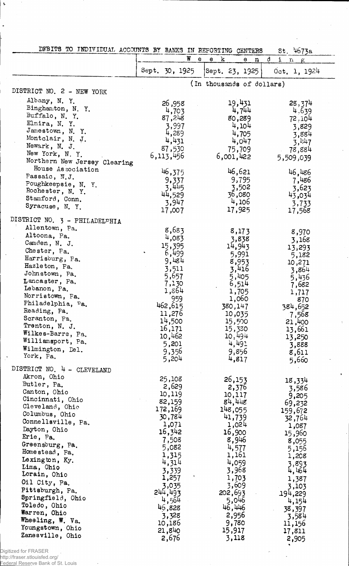| DEBITS TO INDIVIDUAL ACCOUNTS BY BANKS IN REPORTING CENTERS |                 |                                                    | $st.$ 4673a            |
|-------------------------------------------------------------|-----------------|----------------------------------------------------|------------------------|
|                                                             | W               | $\bf k$<br>$\mathbf e$<br>e<br>e<br>$\mathfrak{n}$ | đ<br>i.<br>$r_1$ $r_2$ |
|                                                             | Sept. 30, 1925  | Sept. 23, 1925)                                    | 0ct. 1, 1924           |
| DISTRICT NO. 2 - NEW YORK                                   |                 | (In thousands of dollars)                          |                        |
| Albany, N. Y.                                               |                 |                                                    |                        |
| Binghamton, N. Y.                                           | 856, 26         | 19,431<br>4,744                                    | 28,374                 |
| Buffalo, N. Y.                                              | 4,703<br>87,248 | 80,289                                             | 4.639<br>72,104        |
| Elmira, N. Y.                                               | 3,997           | 4,104                                              | 3,829                  |
| Jamestown, N. Y.                                            | 4,289           | 4,705                                              | 3,884                  |
| Montclair, N. J.                                            | 4,431           | 4,047                                              | 3, 1:47                |
| Newark, N. J.                                               | 87,530          | 75,709                                             | 78,884                 |
| New York, N.Y.                                              | 6,113,456       | 6,001,422                                          | 5,509,039              |
| Northern New Jersey Clearing                                |                 |                                                    |                        |
| House Association                                           | 46,375          | 46,621                                             | 46,486                 |
| Passaic, N.J.<br>Poughkeepsie, N. Y.                        | 9,337           | 9,795                                              | 7,486                  |
| Rochester, N. Y.                                            | 3,445           | 3,502                                              | 3,623                  |
| Stamford, Conn.                                             | 44,529          | 36,080                                             | 43,034                 |
| Syracuse, N.Y.                                              | 3,947           | 4,106                                              | 3,733                  |
|                                                             | 17,007          | 17,925                                             | 17,568                 |
| DISTRICT NO. 3 - PHILADELPHIA<br>Allentown, Pa.             |                 |                                                    |                        |
| Altoona, Pa.                                                | 8,683           | 8,173                                              | 8,970                  |
| Camden, N. J.                                               | 4,083           | 3,838                                              | 3,168                  |
| Chester, Fa.                                                | 15,395          | 14,943                                             | 13,293                 |
| Harrisburg, Pa.                                             | 6,499           | 5,991                                              | 5,182                  |
| Hazleton, Pa.                                               | 9,484<br>3,511  | 8,953<br>3,416                                     | 10,271                 |
| Johnstown, Pa.                                              | 5,657           | 5,405                                              | 3,864                  |
| Lancaster, Pa.                                              | 7,130           | 6,514                                              | 5,436<br>7,682         |
| Lebanon, Pa.                                                | 1,864           | 1,705                                              | 1,717                  |
| Norristown, Pa.                                             | 959             | 1,060                                              | 870                    |
| Philadelphia, Pa.                                           | 462,615         | 380,147                                            | 384,652                |
| Reading, Pa.                                                | 11,276          | 10,035                                             | 7,568                  |
| Scranton, Pa.                                               | 14,500          | 15,500                                             | 21,400                 |
| Trenton, N. J.<br>Wilkes-Barre, Pa.                         | 16,171          | 15,330                                             | 13,661                 |
| Williamsport, Pa.                                           | 10,462          | 10,494                                             | 13,250                 |
| Wilmington, Del.                                            | 5,201           | 4,491                                              | 3,888                  |
| York, Pa.<br>$\,$                                           | 9,356<br>5,204  | 9,856<br>4,817                                     | 8,611<br>5,660         |
| DISTRICT NO. 4 - CLEVELAND                                  |                 |                                                    |                        |
| Akron, Ohio                                                 | 25,108          | 26,153                                             | 18,334                 |
| Butler, Pa.                                                 | 2,629           | 2,376                                              | 3,586                  |
| Canton, Ohio                                                | 10,119          | 10,117                                             | 9,205                  |
| Cincinnati, Ohio                                            | 82,159          | 84,448                                             | 69,232                 |
| Cleveland, Ohio                                             | 172,169         | 148,055                                            | 159,672                |
| Columbus, Ohio<br>Connellsville, Pa.                        | 30,784          | 41,739                                             | 32,764                 |
| Dayton, Ohio                                                | 1,071           | 1,024                                              | 1,087                  |
| Erie, Pa.                                                   | 16,342          | 16,900                                             | 15,960                 |
| Greensburg, Pa.                                             | 7,508           | 8,946                                              | 8,055                  |
| Homestead, Pa.                                              | 5,082<br>1,315  | 4,577<br>1,161                                     | 5,156                  |
| Lexington, Ky.                                              | 4,314           | 4,059                                              | 1,208                  |
| Lima, Ohio                                                  | 3,339           | 3,968                                              | 3,893<br>4,464         |
| Lorain, Ohio                                                | 1,257           | 1,703                                              | 1,387                  |
| Oil City, Pa.                                               | 3,035           | 3,609                                              | 3,103                  |
| Pittsburgh, Pa.                                             | 244,493         | 202,693                                            | 194,229                |
| Springfield, Ohio                                           | 4,564           | 5,046                                              | 4,154                  |
| Toledo, Ohio<br>Warren, Ohio                                | 46,828          | 46,446                                             | 38,397                 |
| Wheeling, W. Va.                                            | 3,328           | 2,956                                              | 3,584                  |
| Youngstown, Ohio                                            | 10,186          | 9,780                                              | 11,156                 |
| Zanesville, Ohio                                            | 21,840          | 15,917                                             | 17,811                 |
|                                                             | 2,676           | 3,118                                              | 2,905                  |

 $\ddot{\phantom{0}}$ 

Digitized for FRASER

 $\mathbf{r}$ 

http://fraser.stlouisfed.org/ Federal Reserve Bank of St. Louis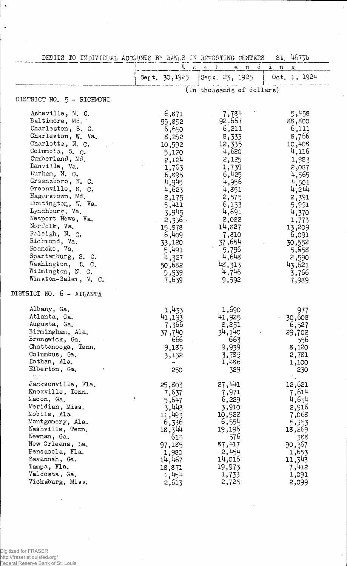| DEBITS TO INDIVIDUAL ACCOUNTS BY BANKS IN REPORTING CENTERS 5t. 4673b |  |  |  |  |
|-----------------------------------------------------------------------|--|--|--|--|
|                                                                       |  |  |  |  |

l,

|                            |                       | $W$ e e $L$ .<br>$e$ $n$ $d$ | $i$ n<br>g   |
|----------------------------|-----------------------|------------------------------|--------------|
|                            | Ser t. 30,1925        | Sep  23, 1925                | 0ct. 1, 1924 |
|                            |                       | (In thousands of dollars)    |              |
| DISTRICT NO. 5 - RICHMOND  |                       |                              |              |
| Asheville, N. C.           | 6,871                 | 7,784                        | 5,458        |
| Baltimore, Md.             | 99,852                | 92,667                       | 88,800       |
| Charleston, S. C.          | 6,650                 | 6,211                        | 6,111        |
| Charleston, W. Va.         | 8,252                 | 8,333                        | 8,766        |
| Charlotte, N. C.           | 10,592                | 12,335                       | 10,408       |
| Columbia, S. C.            | 5,120                 | 4,620                        | 4,116        |
| Cumberland, Md.            | 2,124                 | 2,125                        | 1,983        |
| Danville, Va.              |                       |                              |              |
| Durham, N. C.              | 1,763                 | 1,739                        | 2,087        |
| Greensboro, N. C.          | 6,895                 | 6,425                        | 4,565        |
| Greenville, S. C.          | 4,945                 | 4,956                        | 4,501        |
| Hagerstown, Md.            | 4,623                 | 4,851                        | 4,214        |
| Huntington, W. Va.         | 2,175                 | 2,575                        | 2,391        |
| Lynchburg, Va.             | 5,411                 | 6,133                        | 5,991        |
| Newport News, Va.          | 3,945                 | 4,691                        | 4,370        |
|                            | 2,336.                | 2,082                        | 1,773        |
| Norfolk, Va.               | 15,878                | 14,827                       | 13,209       |
| Raleigh, N. C.             | 6,409                 | 7,810                        | 6,091        |
| Richmond, Va.              | 33,120                | 37,654                       | 30,552       |
| Roanoke, Va.               | 5,491                 | 5,796                        | 5,658        |
| Spartanburg, S. C.         | 4,327                 | 4,648                        | 2,590        |
| Washington, D. C.          | 50,682                | 48,313                       | 43,621       |
| Wilmington, N. C.          | 5,939                 | 4,746                        | 3,766        |
| Winston-Salem, N. C.       | 7,639                 | 9,592                        | 7,989        |
| DISTRICT NO. 6 - ATLANTA   |                       |                              |              |
| Albany, Ga.                | 1,433                 | 1,690                        | 977          |
| Atlanta, Ga.               | 41,193                | 41,925                       | 30,608       |
| Augusta, Ga.               | 7,366                 | 8,251                        | 6,527        |
| Birmingham, Ala.           | <b>37,740</b>         | 34,140                       | 29,702       |
| Brunswick, Ga.             | 666                   | 663                          | 556          |
| Chattanooga, Tenn.         | 9,185                 | 9,939                        | 8,120        |
| Columbus, Ga.              | 3,152                 | 3,789                        | 2,781        |
| Dothan, Ala.               |                       | 1,1.86                       | 1,100        |
| Elberton, Ga.              | 250                   | 329                          | 230          |
| $\mathcal{L}^{\text{max}}$ |                       |                              |              |
| Jacksonville, Fla.         | 25,803                | 27,441                       | 12,621       |
| Knoxville, Tenn.           | 7,637                 | 7,971                        | 7,614        |
| Macon, Ga.                 | $\mathbf{v}$<br>5,647 | 6,229                        | 4,634        |
| Meridian, Miss.            | 3,443                 | 3,910                        | 2,916        |
| Mobile, Ala.               | 11,493                | 10,922                       | 7,068        |
| Montgomery, Ala.           | 6,336                 | 6,554                        | 5,353        |
| Nashville, Tenn.           | 18,344                | 19,196                       | 18,269       |
| Newnan, Ga.                | 615                   | 576                          | 388          |
| New Orleans, La.           | 97,185                | 87,417                       | 90,367       |
| Pensacola, Fla.            | 1,980                 | 2,454                        | 1,653        |
| Savannah, Ga.              | 14,467                | 14,816                       | 11,343       |
| Tampa, Fla.                | 18,871                | 19,973                       | 7,412        |
| Valdosta, Ga.              | 1,454                 | 1,733                        | 1,091        |
| Vicksburg, Miss.           | 2,613                 | 2,725                        | 2,099        |

 $\bar{z}$ 

Ŷ,

 $\ddot{\phantom{0}}$ 

Digitized for FRASER http://fraser.stlouisfed.org/ Federal Reserve Bank of St. Louis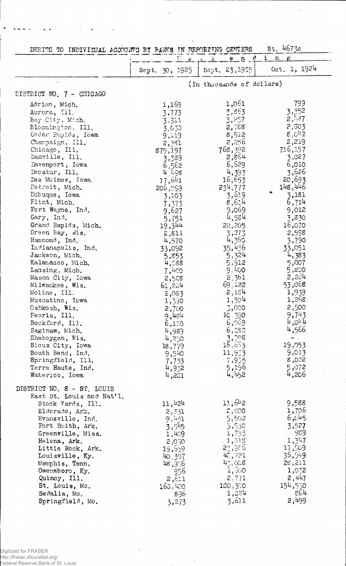| 5t.4673c<br>DEBITS TO INDIVIDUAL ACCOUNTS BY BANKS IN REPORTING CENTERS                                                                                                                                                                                                                                                                                                                                                                                                                                                                                                                                                                                                 |  |                                                                                                                                                                                                                                                                                                                                       |                                                                                                                                                                                                                                                                                                                                     |                                                                                                                                                                                                                                                                                                                                                |  |  |
|-------------------------------------------------------------------------------------------------------------------------------------------------------------------------------------------------------------------------------------------------------------------------------------------------------------------------------------------------------------------------------------------------------------------------------------------------------------------------------------------------------------------------------------------------------------------------------------------------------------------------------------------------------------------------|--|---------------------------------------------------------------------------------------------------------------------------------------------------------------------------------------------------------------------------------------------------------------------------------------------------------------------------------------|-------------------------------------------------------------------------------------------------------------------------------------------------------------------------------------------------------------------------------------------------------------------------------------------------------------------------------------|------------------------------------------------------------------------------------------------------------------------------------------------------------------------------------------------------------------------------------------------------------------------------------------------------------------------------------------------|--|--|
|                                                                                                                                                                                                                                                                                                                                                                                                                                                                                                                                                                                                                                                                         |  | $V_{\perp}$ , $\mathbf{e}$<br>Sept. 30, 1925                                                                                                                                                                                                                                                                                          | $e$ n $d$<br>$\mathcal{L}$<br>- 600<br>$[{\rm Sept}, 23, 1925]$                                                                                                                                                                                                                                                                     | i<br>n<br>Oct. 1, 1924                                                                                                                                                                                                                                                                                                                         |  |  |
|                                                                                                                                                                                                                                                                                                                                                                                                                                                                                                                                                                                                                                                                         |  |                                                                                                                                                                                                                                                                                                                                       | (In thousands of dollars)                                                                                                                                                                                                                                                                                                           |                                                                                                                                                                                                                                                                                                                                                |  |  |
| DISTRICT NO. 7 - CHICAGO                                                                                                                                                                                                                                                                                                                                                                                                                                                                                                                                                                                                                                                |  |                                                                                                                                                                                                                                                                                                                                       |                                                                                                                                                                                                                                                                                                                                     |                                                                                                                                                                                                                                                                                                                                                |  |  |
| Adrian, Mich.<br>Aurora, Ill.<br>Bay City, Mich,<br>Bloomington, Ill.<br>Cedar Rapids, Iowa<br>Champaign, Ill.<br>Chicago, Ill.<br>Danville, Ill.<br>Davenport, Iowa<br>Decatur, Ill.<br>Des Moines, Iowa.<br>Detroit, Mich.<br>Dubuque, Iowa<br>Flint, Mich.<br>Fort Wayne, Ind.<br>Gary, Ind.<br>Grand Rapids, Mich.<br>Green Bay, Wis.<br>Hammond, Ind.<br>Indianapolis, Ind.<br>Jackson, Mich.<br>Kalamazoo, Mich.<br>Lansing, Mich.<br>Mason City, Iowa<br>Milwaukee, Wis.<br>Moline, Ill.<br>Muscatine, Iowa<br>Oshkosh, Wis.<br>Peoria, Ill.<br>Rockford, Ill.<br>Saginaw, Mich.<br>Sheboygan, Wis.<br>Sioux City, Iowa<br>South Bend, Ind.<br>Springfield, Ill. |  | 1,159<br>3,773<br>3,311<br>3,030<br>9,119<br>2,381<br>875,197<br>3,339<br>6,562<br>$4 \, 198$<br>17,641<br>206,059<br>3,103<br>7,373<br>9,627<br>5,751<br>19,344<br>2,811<br>4,570<br>33,092<br>5,853<br>4,588<br>7,400<br>2,528<br>61,224<br>2,083<br>1,370<br>2,700<br>५,५४५<br>6,110<br>4,989<br>4,250<br>18,779<br>9,540<br>7,733 | 1,061<br>3,863<br>3,257<br>2,758<br>8,512<br>2,256<br>768,392<br>2,864<br>6,629<br>4,393<br>16,653<br>234,777<br>3,619<br>8,614<br>9,069<br>4,584<br>22,205<br>3,273<br>4,360<br>35,436<br>5.324<br>5,912<br>9,400<br>2,361<br>69.122<br>2,184<br>1,504<br>3,000<br>10,390<br>6,069<br>6,28.2<br>3,708<br>16,663<br>11,953<br>7,935 | 799<br>3,352<br>2,437<br>2,503<br>$g^{\dagger}$ $O_{11}^{1/2}$<br>2,219<br>716,157<br>3,027<br>6,010<br>3,626<br>20,693<br>148,446<br>3,181<br>6,714<br>9,012<br>3,830<br>16,070<br>2,598<br>3,790<br>33,051<br>4,383<br>5,007<br>5,800<br>2,284<br>53,068<br>1,939<br>1,268.<br>2,500<br>9,743<br>4,0.14<br>4,566<br>19,053<br>9,013<br>8,022 |  |  |
| Terre Haute, Ind.<br>Waterloo, Iowa                                                                                                                                                                                                                                                                                                                                                                                                                                                                                                                                                                                                                                     |  | 4,932<br>4,201                                                                                                                                                                                                                                                                                                                        | 5,196<br>4,152                                                                                                                                                                                                                                                                                                                      | 5,072<br>4,206                                                                                                                                                                                                                                                                                                                                 |  |  |
| DISTRICT NO. 8 - ST. LOUIS<br>East St. Louis and Nat'l.<br>Stock Yards, Ill.<br>Eldorado, Ark.<br>Evansville, Ind.<br>Fort Smith, Ark.<br>Greenville, Miss.<br>Helena, Ark.<br>Little Rock, Ark.<br>Louisville, Ky.<br>Memphis, Tenn.<br>Owensboro, Ky.<br>Quincy, Ill.<br>St. Louis, Mo.<br>Sedalia, Mo.<br>Springfield, Mo.                                                                                                                                                                                                                                                                                                                                           |  | 11,424<br>2,331<br>9,451<br>3,545<br>1,409<br>2,030<br>19,659<br>40.307<br>48,356<br>956<br>2,6.1<br>163,400<br>896<br>3,273                                                                                                                                                                                                          | 11,612<br>2,500<br>5,502<br>5,930<br>1,735<br>1,313<br>23,986<br>42,721<br>43,088<br>1,600<br>2,771<br>180,300<br>1,024<br>3,611                                                                                                                                                                                                    | 9,588<br>1,706<br>6,045<br>3,527<br>989<br>1,347<br>17,509<br>36,949<br>28,211<br>1,032<br>2,447<br>154,530<br>g64<br>2,499                                                                                                                                                                                                                    |  |  |

 $\cdot$ 

l.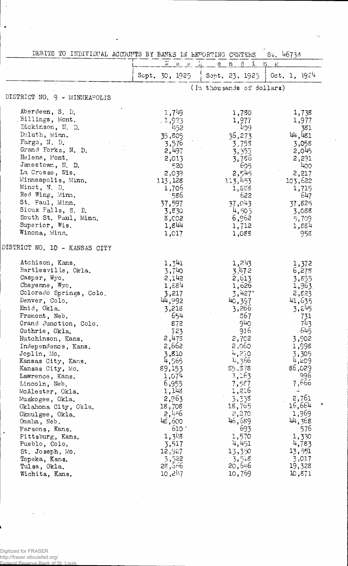| $\overline{W}$<br>e e k<br>$\mathcal{C}$<br>e<br>n<br>i.<br>n<br>Oct. 1, $1924$<br>Sept. 30, 1925<br>Sept. 23, 1925<br>(In thousands of dollars)<br>DISTRICT NO. 9 - MINNEAPOLIS<br>Aberdeen, S. D.<br>1,749<br>1,780<br>1,738<br>Billings, Mont.<br>.1,923<br>1,977<br>1,977<br>Dickinson, N. D.<br>452<br>409<br>381<br>Duluth, Minn.<br>44,481<br>36,273<br>35,805<br>Fargo, N. D.<br>3,058<br>3,576<br>3,753<br>Grand Forks, N. D.<br>2,497<br>2,045<br>3,355<br>Helena, Mont.<br>2,013<br>3,786<br>2,291<br>Jamestown, N. D.<br>605<br>520<br>400<br>La Crosse, Wis.<br>2,545<br>2,217<br>2,039<br>Minneapolis, Minn.<br>113,453<br>103,622<br>113,128<br>Minot, N. D.<br>1,706<br>1,715<br>1,888<br>Red Wing, Minn.<br>586<br>622<br>647<br>St. Paul, Minn.<br>37,043<br>37,597<br>37,825<br>Sioux Falls, S. D.<br>4,505<br>3,830<br>3,088<br>South St. Paul, Minn.<br>6,962<br>3,002<br>5,709<br>Superior, Wis.<br>1,844<br>1,712<br>1,884<br>Winona, Minn.<br>958<br>1,017<br>1,088<br>DISTRICT NO. 10 - KANSAS CITY<br>Atchison, Kans.<br>1,341<br>1,243<br>1,372<br>Bartlesville, Okla.<br>3,740<br>3,47.2<br>6,273<br>Casper, Wyo.<br>2,142<br>2,613<br>3,855<br>Cheyenne, Wyo.<br>1,884<br>1,626<br>1,963<br>Colorado Springs, Colo.<br>3,427<br>3,217<br>2,823<br>41,635<br>Denver, Colo.<br>44,992<br>40,397<br>Enid, Okla.<br>3,218<br>3,266<br>3,245<br>654<br>867<br>Fremont, Neb.<br>731<br>940<br>743<br>Grand Junction, Colo.<br>872<br>645<br>916<br>723<br>Guthrie, Okla.<br>2,473<br>2,702<br>3,902<br>Hutchinson, Kans.<br>2,662<br>2,060<br>1,998<br>Independence, Kans.<br>3,810<br>4,270<br>Joplin, Mo.<br>3,305 | DEBITS TO INDIVIDUAL ACCOUNTS BY BANKS IN REPORTING CENTERS |  | $S_{v}$ , 4673d |
|---------------------------------------------------------------------------------------------------------------------------------------------------------------------------------------------------------------------------------------------------------------------------------------------------------------------------------------------------------------------------------------------------------------------------------------------------------------------------------------------------------------------------------------------------------------------------------------------------------------------------------------------------------------------------------------------------------------------------------------------------------------------------------------------------------------------------------------------------------------------------------------------------------------------------------------------------------------------------------------------------------------------------------------------------------------------------------------------------------------------------------------------------------------------------------------------------------------------------------------------------------------------------------------------------------------------------------------------------------------------------------------------------------------------------------------------------------------------------------------------------------------------------------------------------------------------------------------------------------------------------------------------|-------------------------------------------------------------|--|-----------------|
|                                                                                                                                                                                                                                                                                                                                                                                                                                                                                                                                                                                                                                                                                                                                                                                                                                                                                                                                                                                                                                                                                                                                                                                                                                                                                                                                                                                                                                                                                                                                                                                                                                             |                                                             |  |                 |
|                                                                                                                                                                                                                                                                                                                                                                                                                                                                                                                                                                                                                                                                                                                                                                                                                                                                                                                                                                                                                                                                                                                                                                                                                                                                                                                                                                                                                                                                                                                                                                                                                                             |                                                             |  |                 |
|                                                                                                                                                                                                                                                                                                                                                                                                                                                                                                                                                                                                                                                                                                                                                                                                                                                                                                                                                                                                                                                                                                                                                                                                                                                                                                                                                                                                                                                                                                                                                                                                                                             |                                                             |  |                 |
|                                                                                                                                                                                                                                                                                                                                                                                                                                                                                                                                                                                                                                                                                                                                                                                                                                                                                                                                                                                                                                                                                                                                                                                                                                                                                                                                                                                                                                                                                                                                                                                                                                             |                                                             |  |                 |
|                                                                                                                                                                                                                                                                                                                                                                                                                                                                                                                                                                                                                                                                                                                                                                                                                                                                                                                                                                                                                                                                                                                                                                                                                                                                                                                                                                                                                                                                                                                                                                                                                                             |                                                             |  |                 |
|                                                                                                                                                                                                                                                                                                                                                                                                                                                                                                                                                                                                                                                                                                                                                                                                                                                                                                                                                                                                                                                                                                                                                                                                                                                                                                                                                                                                                                                                                                                                                                                                                                             |                                                             |  |                 |
|                                                                                                                                                                                                                                                                                                                                                                                                                                                                                                                                                                                                                                                                                                                                                                                                                                                                                                                                                                                                                                                                                                                                                                                                                                                                                                                                                                                                                                                                                                                                                                                                                                             |                                                             |  |                 |
|                                                                                                                                                                                                                                                                                                                                                                                                                                                                                                                                                                                                                                                                                                                                                                                                                                                                                                                                                                                                                                                                                                                                                                                                                                                                                                                                                                                                                                                                                                                                                                                                                                             |                                                             |  |                 |
|                                                                                                                                                                                                                                                                                                                                                                                                                                                                                                                                                                                                                                                                                                                                                                                                                                                                                                                                                                                                                                                                                                                                                                                                                                                                                                                                                                                                                                                                                                                                                                                                                                             |                                                             |  |                 |
|                                                                                                                                                                                                                                                                                                                                                                                                                                                                                                                                                                                                                                                                                                                                                                                                                                                                                                                                                                                                                                                                                                                                                                                                                                                                                                                                                                                                                                                                                                                                                                                                                                             |                                                             |  |                 |
|                                                                                                                                                                                                                                                                                                                                                                                                                                                                                                                                                                                                                                                                                                                                                                                                                                                                                                                                                                                                                                                                                                                                                                                                                                                                                                                                                                                                                                                                                                                                                                                                                                             |                                                             |  |                 |
|                                                                                                                                                                                                                                                                                                                                                                                                                                                                                                                                                                                                                                                                                                                                                                                                                                                                                                                                                                                                                                                                                                                                                                                                                                                                                                                                                                                                                                                                                                                                                                                                                                             |                                                             |  |                 |
|                                                                                                                                                                                                                                                                                                                                                                                                                                                                                                                                                                                                                                                                                                                                                                                                                                                                                                                                                                                                                                                                                                                                                                                                                                                                                                                                                                                                                                                                                                                                                                                                                                             |                                                             |  |                 |
|                                                                                                                                                                                                                                                                                                                                                                                                                                                                                                                                                                                                                                                                                                                                                                                                                                                                                                                                                                                                                                                                                                                                                                                                                                                                                                                                                                                                                                                                                                                                                                                                                                             |                                                             |  |                 |
|                                                                                                                                                                                                                                                                                                                                                                                                                                                                                                                                                                                                                                                                                                                                                                                                                                                                                                                                                                                                                                                                                                                                                                                                                                                                                                                                                                                                                                                                                                                                                                                                                                             |                                                             |  |                 |
|                                                                                                                                                                                                                                                                                                                                                                                                                                                                                                                                                                                                                                                                                                                                                                                                                                                                                                                                                                                                                                                                                                                                                                                                                                                                                                                                                                                                                                                                                                                                                                                                                                             |                                                             |  |                 |
|                                                                                                                                                                                                                                                                                                                                                                                                                                                                                                                                                                                                                                                                                                                                                                                                                                                                                                                                                                                                                                                                                                                                                                                                                                                                                                                                                                                                                                                                                                                                                                                                                                             |                                                             |  |                 |
|                                                                                                                                                                                                                                                                                                                                                                                                                                                                                                                                                                                                                                                                                                                                                                                                                                                                                                                                                                                                                                                                                                                                                                                                                                                                                                                                                                                                                                                                                                                                                                                                                                             |                                                             |  |                 |
|                                                                                                                                                                                                                                                                                                                                                                                                                                                                                                                                                                                                                                                                                                                                                                                                                                                                                                                                                                                                                                                                                                                                                                                                                                                                                                                                                                                                                                                                                                                                                                                                                                             |                                                             |  |                 |
|                                                                                                                                                                                                                                                                                                                                                                                                                                                                                                                                                                                                                                                                                                                                                                                                                                                                                                                                                                                                                                                                                                                                                                                                                                                                                                                                                                                                                                                                                                                                                                                                                                             |                                                             |  |                 |
|                                                                                                                                                                                                                                                                                                                                                                                                                                                                                                                                                                                                                                                                                                                                                                                                                                                                                                                                                                                                                                                                                                                                                                                                                                                                                                                                                                                                                                                                                                                                                                                                                                             |                                                             |  |                 |
|                                                                                                                                                                                                                                                                                                                                                                                                                                                                                                                                                                                                                                                                                                                                                                                                                                                                                                                                                                                                                                                                                                                                                                                                                                                                                                                                                                                                                                                                                                                                                                                                                                             |                                                             |  |                 |
|                                                                                                                                                                                                                                                                                                                                                                                                                                                                                                                                                                                                                                                                                                                                                                                                                                                                                                                                                                                                                                                                                                                                                                                                                                                                                                                                                                                                                                                                                                                                                                                                                                             |                                                             |  |                 |
|                                                                                                                                                                                                                                                                                                                                                                                                                                                                                                                                                                                                                                                                                                                                                                                                                                                                                                                                                                                                                                                                                                                                                                                                                                                                                                                                                                                                                                                                                                                                                                                                                                             |                                                             |  |                 |
|                                                                                                                                                                                                                                                                                                                                                                                                                                                                                                                                                                                                                                                                                                                                                                                                                                                                                                                                                                                                                                                                                                                                                                                                                                                                                                                                                                                                                                                                                                                                                                                                                                             |                                                             |  |                 |
|                                                                                                                                                                                                                                                                                                                                                                                                                                                                                                                                                                                                                                                                                                                                                                                                                                                                                                                                                                                                                                                                                                                                                                                                                                                                                                                                                                                                                                                                                                                                                                                                                                             |                                                             |  |                 |
|                                                                                                                                                                                                                                                                                                                                                                                                                                                                                                                                                                                                                                                                                                                                                                                                                                                                                                                                                                                                                                                                                                                                                                                                                                                                                                                                                                                                                                                                                                                                                                                                                                             |                                                             |  |                 |
|                                                                                                                                                                                                                                                                                                                                                                                                                                                                                                                                                                                                                                                                                                                                                                                                                                                                                                                                                                                                                                                                                                                                                                                                                                                                                                                                                                                                                                                                                                                                                                                                                                             |                                                             |  |                 |
|                                                                                                                                                                                                                                                                                                                                                                                                                                                                                                                                                                                                                                                                                                                                                                                                                                                                                                                                                                                                                                                                                                                                                                                                                                                                                                                                                                                                                                                                                                                                                                                                                                             |                                                             |  |                 |
|                                                                                                                                                                                                                                                                                                                                                                                                                                                                                                                                                                                                                                                                                                                                                                                                                                                                                                                                                                                                                                                                                                                                                                                                                                                                                                                                                                                                                                                                                                                                                                                                                                             |                                                             |  |                 |
|                                                                                                                                                                                                                                                                                                                                                                                                                                                                                                                                                                                                                                                                                                                                                                                                                                                                                                                                                                                                                                                                                                                                                                                                                                                                                                                                                                                                                                                                                                                                                                                                                                             |                                                             |  |                 |
|                                                                                                                                                                                                                                                                                                                                                                                                                                                                                                                                                                                                                                                                                                                                                                                                                                                                                                                                                                                                                                                                                                                                                                                                                                                                                                                                                                                                                                                                                                                                                                                                                                             |                                                             |  |                 |
|                                                                                                                                                                                                                                                                                                                                                                                                                                                                                                                                                                                                                                                                                                                                                                                                                                                                                                                                                                                                                                                                                                                                                                                                                                                                                                                                                                                                                                                                                                                                                                                                                                             |                                                             |  |                 |
|                                                                                                                                                                                                                                                                                                                                                                                                                                                                                                                                                                                                                                                                                                                                                                                                                                                                                                                                                                                                                                                                                                                                                                                                                                                                                                                                                                                                                                                                                                                                                                                                                                             |                                                             |  |                 |
|                                                                                                                                                                                                                                                                                                                                                                                                                                                                                                                                                                                                                                                                                                                                                                                                                                                                                                                                                                                                                                                                                                                                                                                                                                                                                                                                                                                                                                                                                                                                                                                                                                             |                                                             |  |                 |
| 4,565<br>4,366<br>4,209<br>Kansas City, Kans.                                                                                                                                                                                                                                                                                                                                                                                                                                                                                                                                                                                                                                                                                                                                                                                                                                                                                                                                                                                                                                                                                                                                                                                                                                                                                                                                                                                                                                                                                                                                                                                               |                                                             |  |                 |
| 86,029<br>89,153<br>85,878<br>Kansas City, Mo.<br>996                                                                                                                                                                                                                                                                                                                                                                                                                                                                                                                                                                                                                                                                                                                                                                                                                                                                                                                                                                                                                                                                                                                                                                                                                                                                                                                                                                                                                                                                                                                                                                                       |                                                             |  |                 |
| 1,163<br>1,074<br>Lawrence, Kans.<br>7,666<br>6,955<br>7,527                                                                                                                                                                                                                                                                                                                                                                                                                                                                                                                                                                                                                                                                                                                                                                                                                                                                                                                                                                                                                                                                                                                                                                                                                                                                                                                                                                                                                                                                                                                                                                                |                                                             |  |                 |
| Lincoln, Neb.<br>1,143<br>1,216                                                                                                                                                                                                                                                                                                                                                                                                                                                                                                                                                                                                                                                                                                                                                                                                                                                                                                                                                                                                                                                                                                                                                                                                                                                                                                                                                                                                                                                                                                                                                                                                             |                                                             |  |                 |
| McAlester, Okla.<br>2,963<br>2,761<br>3,338                                                                                                                                                                                                                                                                                                                                                                                                                                                                                                                                                                                                                                                                                                                                                                                                                                                                                                                                                                                                                                                                                                                                                                                                                                                                                                                                                                                                                                                                                                                                                                                                 |                                                             |  |                 |
| Muskogee, Okla.<br>16,664<br>18,708<br>18,765<br>Oklahoma City, Okla.                                                                                                                                                                                                                                                                                                                                                                                                                                                                                                                                                                                                                                                                                                                                                                                                                                                                                                                                                                                                                                                                                                                                                                                                                                                                                                                                                                                                                                                                                                                                                                       |                                                             |  |                 |
| 1,969<br>2,270<br>2,456                                                                                                                                                                                                                                                                                                                                                                                                                                                                                                                                                                                                                                                                                                                                                                                                                                                                                                                                                                                                                                                                                                                                                                                                                                                                                                                                                                                                                                                                                                                                                                                                                     |                                                             |  |                 |
| Okmulgee, Okla.<br>46,689<br>44,368<br>48,600<br>Omaha, Neb.                                                                                                                                                                                                                                                                                                                                                                                                                                                                                                                                                                                                                                                                                                                                                                                                                                                                                                                                                                                                                                                                                                                                                                                                                                                                                                                                                                                                                                                                                                                                                                                |                                                             |  |                 |
| 610 <sup>o</sup><br>693<br>576<br>Parsons, Kans.                                                                                                                                                                                                                                                                                                                                                                                                                                                                                                                                                                                                                                                                                                                                                                                                                                                                                                                                                                                                                                                                                                                                                                                                                                                                                                                                                                                                                                                                                                                                                                                            |                                                             |  |                 |
| ×<br>$1,3^{1/3}$<br>1,570<br>1,330<br>Pittsburg, Kans.                                                                                                                                                                                                                                                                                                                                                                                                                                                                                                                                                                                                                                                                                                                                                                                                                                                                                                                                                                                                                                                                                                                                                                                                                                                                                                                                                                                                                                                                                                                                                                                      |                                                             |  |                 |
| 4,451<br>4,783<br>3,517<br>Pueblo, Colo.                                                                                                                                                                                                                                                                                                                                                                                                                                                                                                                                                                                                                                                                                                                                                                                                                                                                                                                                                                                                                                                                                                                                                                                                                                                                                                                                                                                                                                                                                                                                                                                                    |                                                             |  |                 |
| 12,927<br>13,350<br>13,551<br>St. Joseph, Mo.                                                                                                                                                                                                                                                                                                                                                                                                                                                                                                                                                                                                                                                                                                                                                                                                                                                                                                                                                                                                                                                                                                                                                                                                                                                                                                                                                                                                                                                                                                                                                                                               |                                                             |  |                 |
| 3,522<br>3,518<br>3,017<br>Topeka, Kans.                                                                                                                                                                                                                                                                                                                                                                                                                                                                                                                                                                                                                                                                                                                                                                                                                                                                                                                                                                                                                                                                                                                                                                                                                                                                                                                                                                                                                                                                                                                                                                                                    |                                                             |  |                 |
| 28,566<br>20,546<br>19,328<br>Tulsa, Okla.                                                                                                                                                                                                                                                                                                                                                                                                                                                                                                                                                                                                                                                                                                                                                                                                                                                                                                                                                                                                                                                                                                                                                                                                                                                                                                                                                                                                                                                                                                                                                                                                  |                                                             |  |                 |
| 10,247<br>10,769<br>10,871<br>Wichita, Kans.                                                                                                                                                                                                                                                                                                                                                                                                                                                                                                                                                                                                                                                                                                                                                                                                                                                                                                                                                                                                                                                                                                                                                                                                                                                                                                                                                                                                                                                                                                                                                                                                |                                                             |  |                 |

 $\mathcal{L}_d$ 

Digitized for FRASER http://fraser.stlouisfed.org/ Federal Reserve Bank of St. Louis